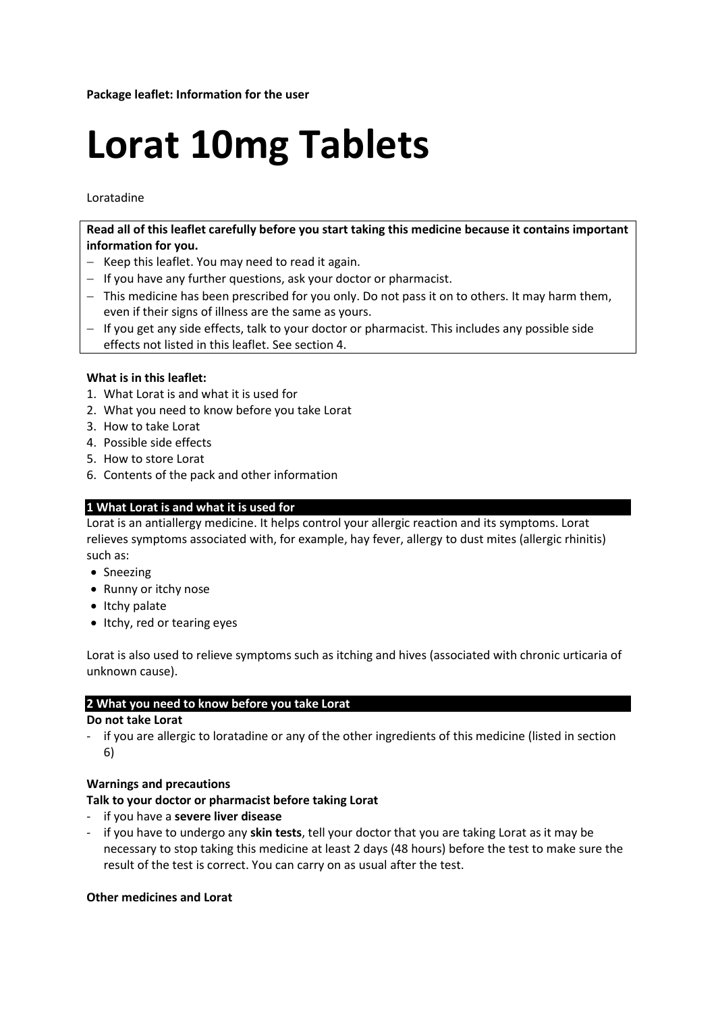# **Lorat 10mg Tablets**

Loratadine

**Read all of this leaflet carefully before you start taking this medicine because it contains important information for you.**

- Keep this leaflet. You may need to read it again.
- $-I$  If you have any further questions, ask your doctor or pharmacist.
- This medicine has been prescribed for you only. Do not pass it on to others. It may harm them, even if their signs of illness are the same as yours.
- If you get any side effects, talk to your doctor or pharmacist. This includes any possible side effects not listed in this leaflet. See section 4.

## **What is in this leaflet:**

- 1. What Lorat is and what it is used for
- 2. What you need to know before you take Lorat
- 3. How to take Lorat
- 4. Possible side effects
- 5. How to store Lorat
- 6. Contents of the pack and other information

## **1 What Lorat is and what it is used for**

Lorat is an antiallergy medicine. It helps control your allergic reaction and its symptoms. Lorat relieves symptoms associated with, for example, hay fever, allergy to dust mites (allergic rhinitis) such as:

- Sneezing
- Runny or itchy nose
- $\bullet$  Itchy palate
- Itchy, red or tearing eyes

Lorat is also used to relieve symptoms such as itching and hives (associated with chronic urticaria of unknown cause).

## **2 What you need to know before you take Lorat**

## **Do not take Lorat**

- if you are allergic to loratadine or any of the other ingredients of this medicine (listed in section 6)

## **Warnings and precautions**

## **Talk to your doctor or pharmacist before taking Lorat**

- if you have a **severe liver disease**
- if you have to undergo any **skin tests**, tell your doctor that you are taking Lorat as it may be necessary to stop taking this medicine at least 2 days (48 hours) before the test to make sure the result of the test is correct. You can carry on as usual after the test.

## **Other medicines and Lorat**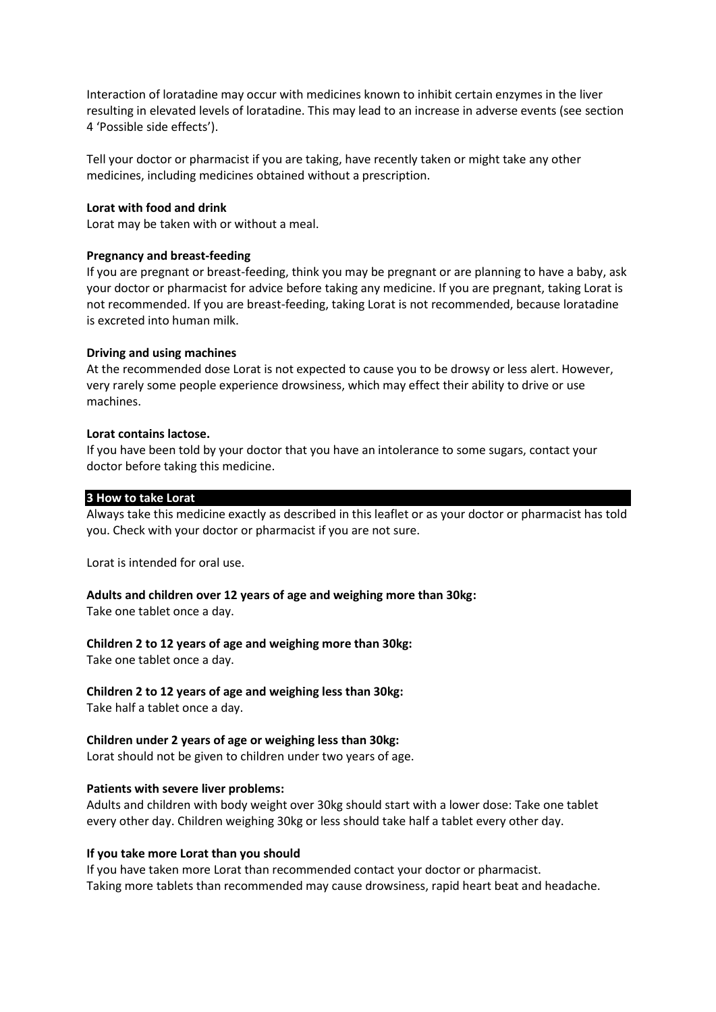Interaction of loratadine may occur with medicines known to inhibit certain enzymes in the liver resulting in elevated levels of loratadine. This may lead to an increase in adverse events (see section 4 'Possible side effects').

Tell your doctor or pharmacist if you are taking, have recently taken or might take any other medicines, including medicines obtained without a prescription.

#### **Lorat with food and drink**

Lorat may be taken with or without a meal.

#### **Pregnancy and breast-feeding**

If you are pregnant or breast-feeding, think you may be pregnant or are planning to have a baby, ask your doctor or pharmacist for advice before taking any medicine. If you are pregnant, taking Lorat is not recommended. If you are breast-feeding, taking Lorat is not recommended, because loratadine is excreted into human milk.

#### **Driving and using machines**

At the recommended dose Lorat is not expected to cause you to be drowsy or less alert. However, very rarely some people experience drowsiness, which may effect their ability to drive or use machines.

#### **Lorat contains lactose.**

If you have been told by your doctor that you have an intolerance to some sugars, contact your doctor before taking this medicine.

#### **3 How to take Lorat**

Always take this medicine exactly as described in this leaflet or as your doctor or pharmacist has told you. Check with your doctor or pharmacist if you are not sure.

Lorat is intended for oral use.

## **Adults and children over 12 years of age and weighing more than 30kg:**

Take one tablet once a day.

## **Children 2 to 12 years of age and weighing more than 30kg:**

Take one tablet once a day.

## **Children 2 to 12 years of age and weighing less than 30kg:**

Take half a tablet once a day.

## **Children under 2 years of age or weighing less than 30kg:**

Lorat should not be given to children under two years of age.

## **Patients with severe liver problems:**

Adults and children with body weight over 30kg should start with a lower dose: Take one tablet every other day. Children weighing 30kg or less should take half a tablet every other day.

## **If you take more Lorat than you should**

If you have taken more Lorat than recommended contact your doctor or pharmacist. Taking more tablets than recommended may cause drowsiness, rapid heart beat and headache.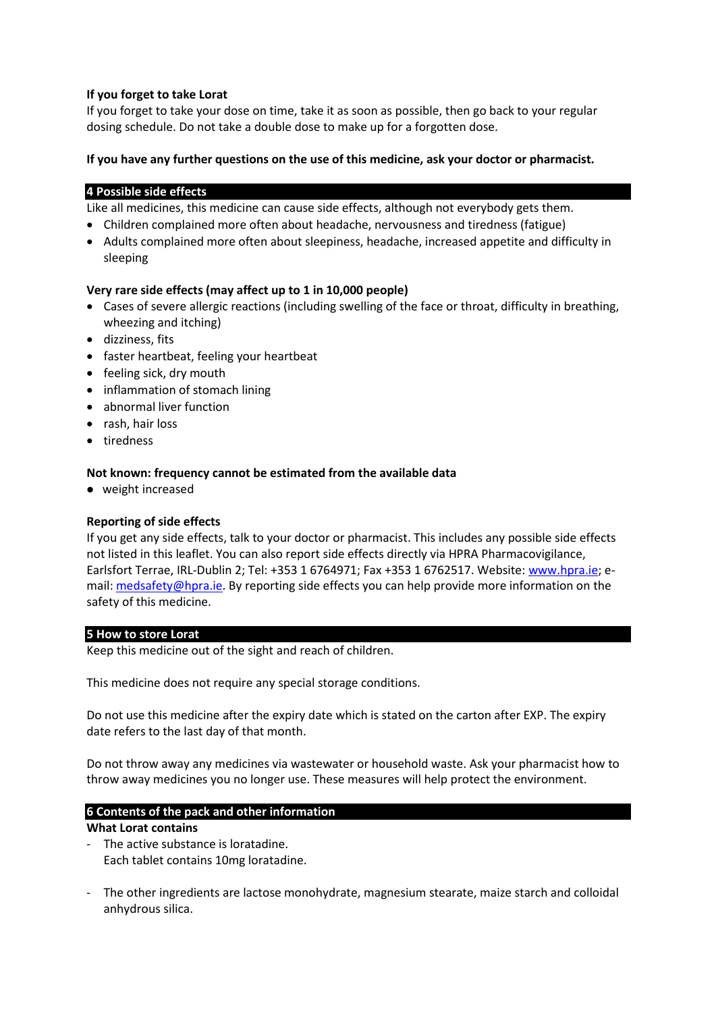## **If you forget to take Lorat**

If you forget to take your dose on time, take it as soon as possible, then go back to your regular dosing schedule. Do not take a double dose to make up for a forgotten dose.

## **If you have any further questions on the use of this medicine, ask your doctor or pharmacist.**

#### **4 Possible side effects**

Like all medicines, this medicine can cause side effects, although not everybody gets them.

- Children complained more often about headache, nervousness and tiredness (fatigue)
- Adults complained more often about sleepiness, headache, increased appetite and difficulty in sleeping

## **Very rare side effects (may affect up to 1 in 10,000 people)**

- Cases of severe allergic reactions (including swelling of the face or throat, difficulty in breathing, wheezing and itching)
- dizziness, fits
- faster heartbeat, feeling your heartbeat
- feeling sick, dry mouth
- inflammation of stomach lining
- abnormal liver function
- rash, hair loss
- tiredness

## **Not known: frequency cannot be estimated from the available data**

weight increased

## **Reporting of side effects**

If you get any side effects, talk to your doctor or pharmacist. This includes any possible side effects not listed in this leaflet. You can also report side effects directly via HPRA Pharmacovigilance, Earlsfort Terrae, IRL-Dublin 2; Tel: +353 1 6764971; Fax +353 1 6762517. Website: [www.hpra.ie;](http://www.hpra.ie/) email[: medsafety@hpra.ie.](mailto:medsafety@hpra.ie) By reporting side effects you can help provide more information on the safety of this medicine.

## **5 How to store Lorat**

Keep this medicine out of the sight and reach of children.

This medicine does not require any special storage conditions.

Do not use this medicine after the expiry date which is stated on the carton after EXP. The expiry date refers to the last day of that month.

Do not throw away any medicines via wastewater or household waste. Ask your pharmacist how to throw away medicines you no longer use. These measures will help protect the environment.

## **6 Contents of the pack and other information**

#### **What Lorat contains**

- The active substance is loratadine. Each tablet contains 10mg loratadine.
- The other ingredients are lactose monohydrate, magnesium stearate, maize starch and colloidal anhydrous silica.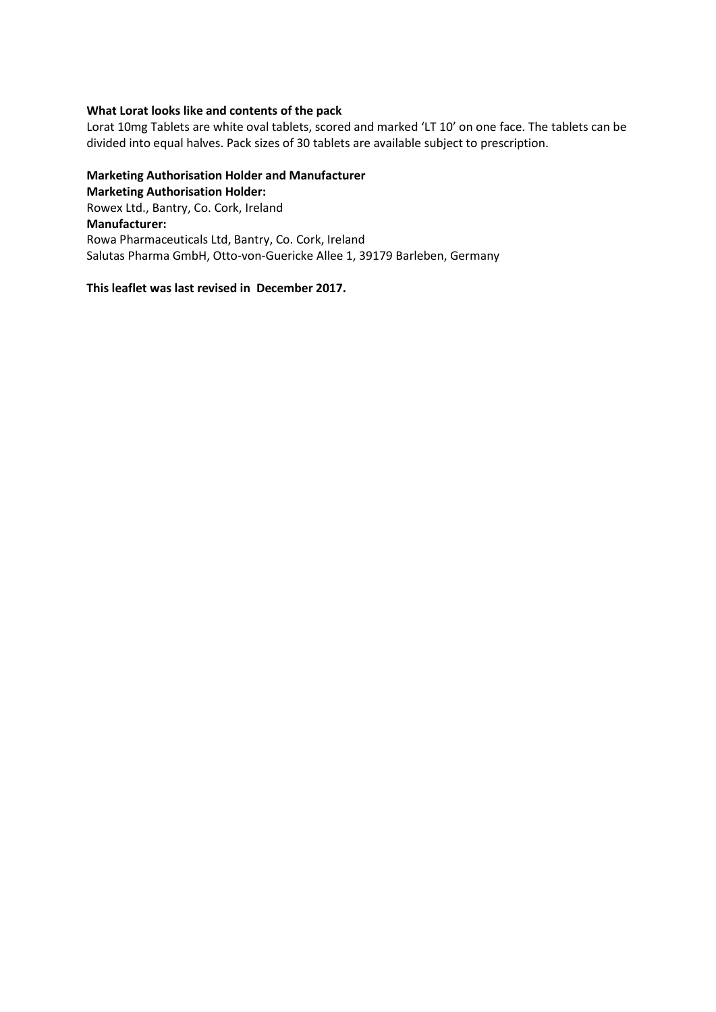## **What Lorat looks like and contents of the pack**

Lorat 10mg Tablets are white oval tablets, scored and marked 'LT 10' on one face. The tablets can be divided into equal halves. Pack sizes of 30 tablets are available subject to prescription.

## **Marketing Authorisation Holder and Manufacturer Marketing Authorisation Holder:** Rowex Ltd., Bantry, Co. Cork, Ireland **Manufacturer:** Rowa Pharmaceuticals Ltd, Bantry, Co. Cork, Ireland Salutas Pharma GmbH, Otto-von-Guericke Allee 1, 39179 Barleben, Germany

#### **This leaflet was last revised in December 2017.**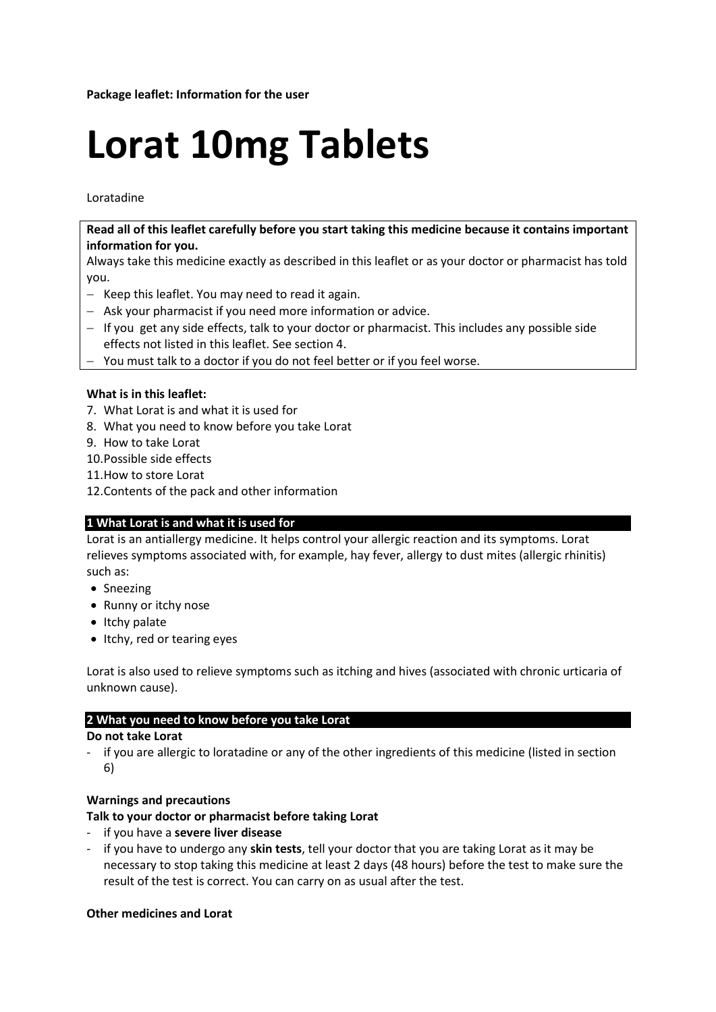# **Lorat 10mg Tablets**

## Loratadine

**Read all of this leaflet carefully before you start taking this medicine because it contains important information for you.**

Always take this medicine exactly as described in this leaflet or as your doctor or pharmacist has told you.

- $-$  Keep this leaflet. You may need to read it again.
- Ask your pharmacist if you need more information or advice.
- If you get any side effects, talk to your doctor or pharmacist. This includes any possible side effects not listed in this leaflet. See section 4.
- You must talk to a doctor if you do not feel better or if you feel worse.

## **What is in this leaflet:**

- 7. What Lorat is and what it is used for
- 8. What you need to know before you take Lorat
- 9. How to take Lorat
- 10.Possible side effects
- 11.How to store Lorat
- 12.Contents of the pack and other information

## **1 What Lorat is and what it is used for**

Lorat is an antiallergy medicine. It helps control your allergic reaction and its symptoms. Lorat relieves symptoms associated with, for example, hay fever, allergy to dust mites (allergic rhinitis) such as:

- Sneezing
- Runny or itchy nose
- Itchy palate
- Itchy, red or tearing eyes

Lorat is also used to relieve symptoms such as itching and hives (associated with chronic urticaria of unknown cause).

## **2 What you need to know before you take Lorat**

## **Do not take Lorat**

if you are allergic to loratadine or any of the other ingredients of this medicine (listed in section 6)

## **Warnings and precautions**

## **Talk to your doctor or pharmacist before taking Lorat**

- if you have a **severe liver disease**
- if you have to undergo any **skin tests**, tell your doctor that you are taking Lorat as it may be necessary to stop taking this medicine at least 2 days (48 hours) before the test to make sure the result of the test is correct. You can carry on as usual after the test.

## **Other medicines and Lorat**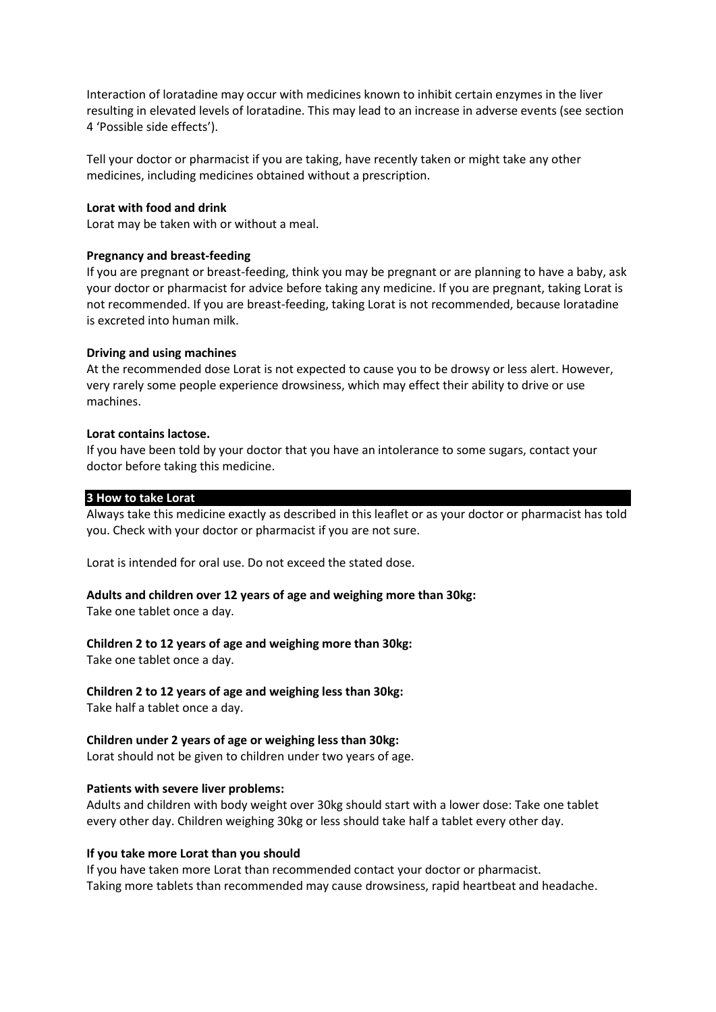Interaction of loratadine may occur with medicines known to inhibit certain enzymes in the liver resulting in elevated levels of loratadine. This may lead to an increase in adverse events (see section 4 'Possible side effects').

Tell your doctor or pharmacist if you are taking, have recently taken or might take any other medicines, including medicines obtained without a prescription.

#### **Lorat with food and drink**

Lorat may be taken with or without a meal.

#### **Pregnancy and breast-feeding**

If you are pregnant or breast-feeding, think you may be pregnant or are planning to have a baby, ask your doctor or pharmacist for advice before taking any medicine. If you are pregnant, taking Lorat is not recommended. If you are breast-feeding, taking Lorat is not recommended, because loratadine is excreted into human milk.

#### **Driving and using machines**

At the recommended dose Lorat is not expected to cause you to be drowsy or less alert. However, very rarely some people experience drowsiness, which may effect their ability to drive or use machines.

#### **Lorat contains lactose.**

If you have been told by your doctor that you have an intolerance to some sugars, contact your doctor before taking this medicine.

#### **3 How to take Lorat**

Always take this medicine exactly as described in this leaflet or as your doctor or pharmacist has told you. Check with your doctor or pharmacist if you are not sure.

Lorat is intended for oral use. Do not exceed the stated dose.

## **Adults and children over 12 years of age and weighing more than 30kg:**

Take one tablet once a day.

## **Children 2 to 12 years of age and weighing more than 30kg:**

Take one tablet once a day.

## **Children 2 to 12 years of age and weighing less than 30kg:**

Take half a tablet once a day.

## **Children under 2 years of age or weighing less than 30kg:**

Lorat should not be given to children under two years of age.

## **Patients with severe liver problems:**

Adults and children with body weight over 30kg should start with a lower dose: Take one tablet every other day. Children weighing 30kg or less should take half a tablet every other day.

## **If you take more Lorat than you should**

If you have taken more Lorat than recommended contact your doctor or pharmacist. Taking more tablets than recommended may cause drowsiness, rapid heartbeat and headache.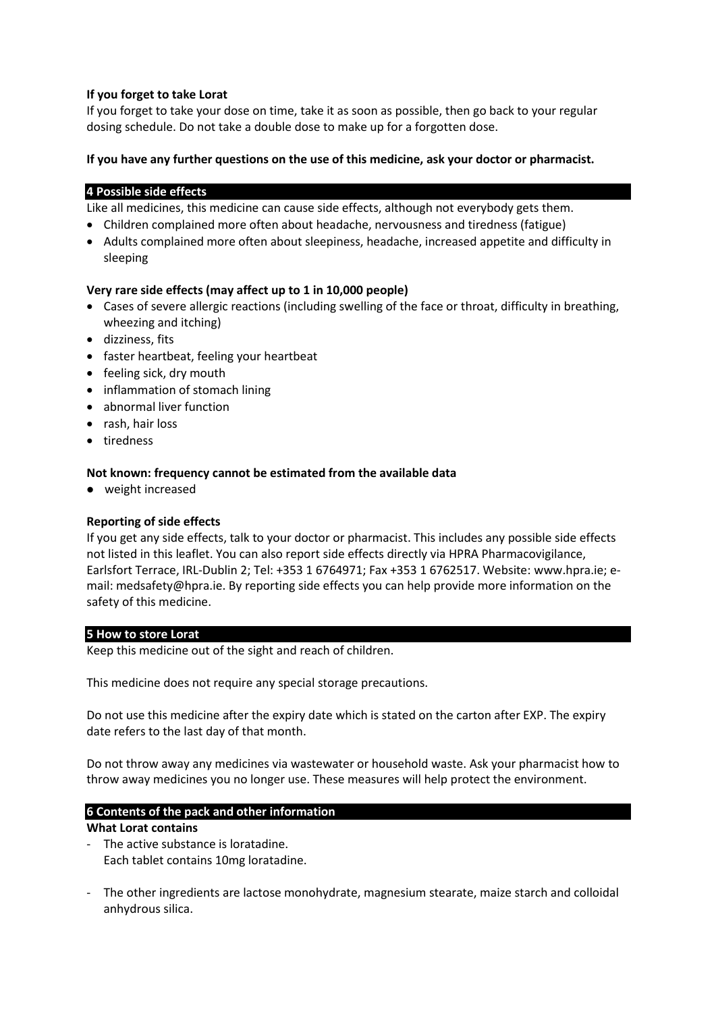## **If you forget to take Lorat**

If you forget to take your dose on time, take it as soon as possible, then go back to your regular dosing schedule. Do not take a double dose to make up for a forgotten dose.

## **If you have any further questions on the use of this medicine, ask your doctor or pharmacist.**

## **4 Possible side effects**

Like all medicines, this medicine can cause side effects, although not everybody gets them.

- Children complained more often about headache, nervousness and tiredness (fatigue)
- Adults complained more often about sleepiness, headache, increased appetite and difficulty in sleeping

## **Very rare side effects (may affect up to 1 in 10,000 people)**

- Cases of severe allergic reactions (including swelling of the face or throat, difficulty in breathing, wheezing and itching)
- dizziness, fits
- faster heartbeat, feeling your heartbeat
- feeling sick, dry mouth
- inflammation of stomach lining
- abnormal liver function
- rash, hair loss
- tiredness

## **Not known: frequency cannot be estimated from the available data**

weight increased

## **Reporting of side effects**

If you get any side effects, talk to your doctor or pharmacist. This includes any possible side effects not listed in this leaflet. You can also report side effects directly via HPRA Pharmacovigilance, Earlsfort Terrace, IRL-Dublin 2; Tel: +353 1 6764971; Fax +353 1 6762517. Website: www.hpra.ie; email: medsafety@hpra.ie. By reporting side effects you can help provide more information on the safety of this medicine.

## **5 How to store Lorat**

Keep this medicine out of the sight and reach of children.

This medicine does not require any special storage precautions.

Do not use this medicine after the expiry date which is stated on the carton after EXP. The expiry date refers to the last day of that month.

Do not throw away any medicines via wastewater or household waste. Ask your pharmacist how to throw away medicines you no longer use. These measures will help protect the environment.

## **6 Contents of the pack and other information**

#### **What Lorat contains**

- The active substance is loratadine. Each tablet contains 10mg loratadine.
- The other ingredients are lactose monohydrate, magnesium stearate, maize starch and colloidal anhydrous silica.